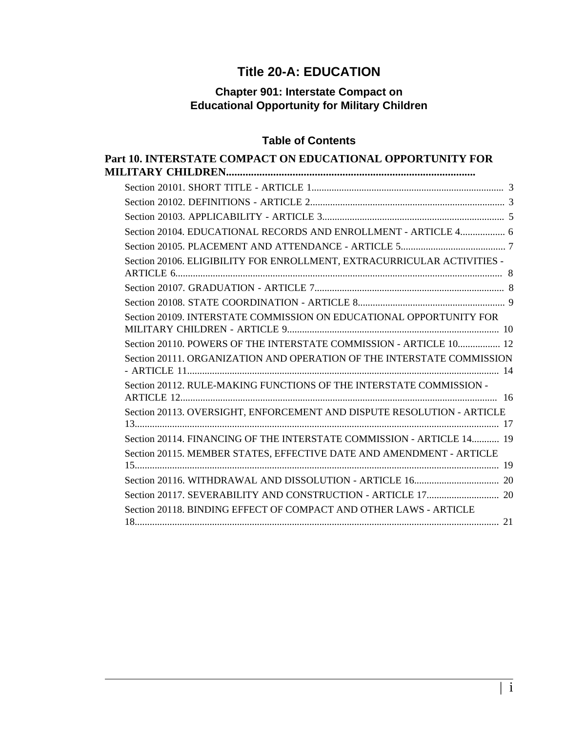# **Title 20-A: EDUCATION**

# **Chapter 901: Interstate Compact on Educational Opportunity for Military Children**

# **Table of Contents**

| Part 10. INTERSTATE COMPACT ON EDUCATIONAL OPPORTUNITY FOR              |  |
|-------------------------------------------------------------------------|--|
|                                                                         |  |
|                                                                         |  |
|                                                                         |  |
|                                                                         |  |
| Section 20104. EDUCATIONAL RECORDS AND ENROLLMENT - ARTICLE 4 6         |  |
|                                                                         |  |
| Section 20106. ELIGIBILITY FOR ENROLLMENT, EXTRACURRICULAR ACTIVITIES - |  |
|                                                                         |  |
|                                                                         |  |
| Section 20109. INTERSTATE COMMISSION ON EDUCATIONAL OPPORTUNITY FOR     |  |
| Section 20110. POWERS OF THE INTERSTATE COMMISSION - ARTICLE 10 12      |  |
| Section 20111. ORGANIZATION AND OPERATION OF THE INTERSTATE COMMISSION  |  |
| Section 20112. RULE-MAKING FUNCTIONS OF THE INTERSTATE COMMISSION -     |  |
|                                                                         |  |
| Section 20113. OVERSIGHT, ENFORCEMENT AND DISPUTE RESOLUTION - ARTICLE  |  |
| Section 20114. FINANCING OF THE INTERSTATE COMMISSION - ARTICLE 14 19   |  |
| Section 20115. MEMBER STATES, EFFECTIVE DATE AND AMENDMENT - ARTICLE    |  |
|                                                                         |  |
|                                                                         |  |
| Section 20118. BINDING EFFECT OF COMPACT AND OTHER LAWS - ARTICLE       |  |
|                                                                         |  |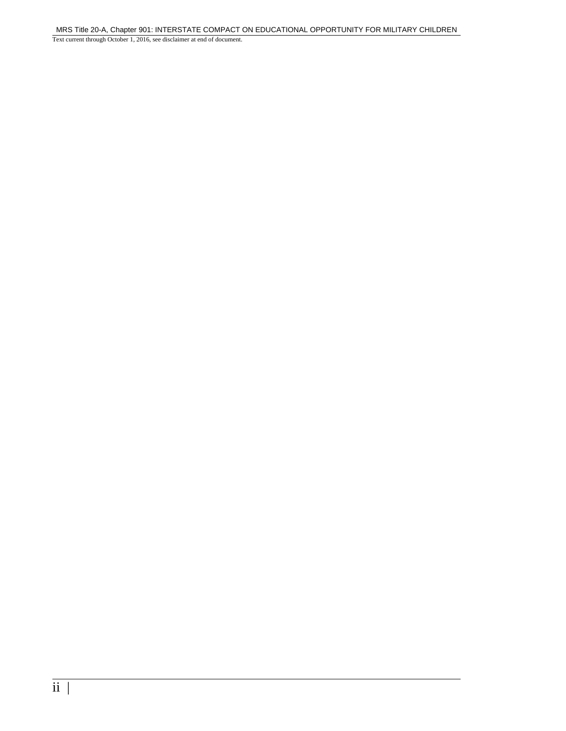Text current through October 1, 2016, see disclaimer at end of document.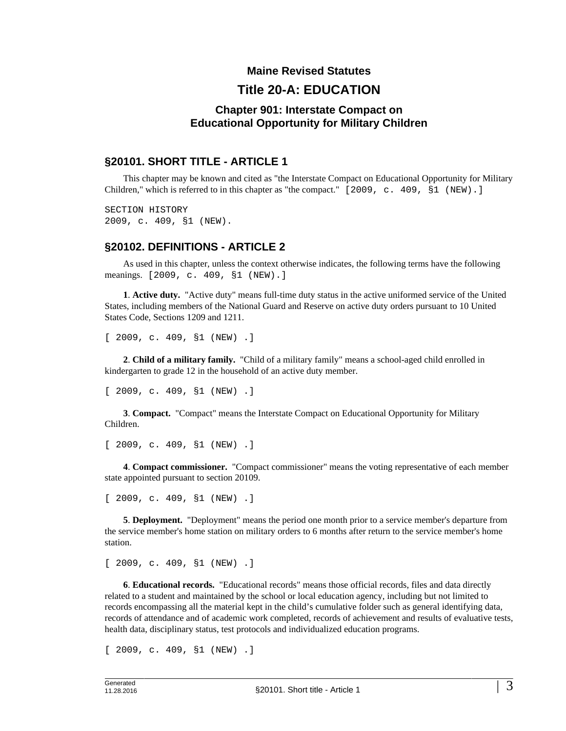### **Maine Revised Statutes**

## **Title 20-A: EDUCATION**

## **Chapter 901: Interstate Compact on Educational Opportunity for Military Children**

#### **§20101. SHORT TITLE - ARTICLE 1**

This chapter may be known and cited as "the Interstate Compact on Educational Opportunity for Military Children," which is referred to in this chapter as "the compact."  $[2009, c. 409, S1 (NEW).]$ 

SECTION HISTORY 2009, c. 409, §1 (NEW).

#### **§20102. DEFINITIONS - ARTICLE 2**

As used in this chapter, unless the context otherwise indicates, the following terms have the following meanings. [2009, c. 409, §1 (NEW).]

**1**. **Active duty.** "Active duty" means full-time duty status in the active uniformed service of the United States, including members of the National Guard and Reserve on active duty orders pursuant to 10 United States Code, Sections 1209 and 1211.

[ 2009, c. 409, §1 (NEW) .]

**2**. **Child of a military family.** "Child of a military family" means a school-aged child enrolled in kindergarten to grade 12 in the household of an active duty member.

[ 2009, c. 409, §1 (NEW) .]

**3**. **Compact.** "Compact" means the Interstate Compact on Educational Opportunity for Military Children.

[ 2009, c. 409, §1 (NEW) .]

**4**. **Compact commissioner.** "Compact commissioner" means the voting representative of each member state appointed pursuant to section 20109.

[ 2009, c. 409, §1 (NEW) .]

**5**. **Deployment.** "Deployment" means the period one month prior to a service member's departure from the service member's home station on military orders to 6 months after return to the service member's home station.

[ 2009, c. 409, §1 (NEW) .]

**6**. **Educational records.** "Educational records" means those official records, files and data directly related to a student and maintained by the school or local education agency, including but not limited to records encompassing all the material kept in the child's cumulative folder such as general identifying data, records of attendance and of academic work completed, records of achievement and results of evaluative tests, health data, disciplinary status, test protocols and individualized education programs.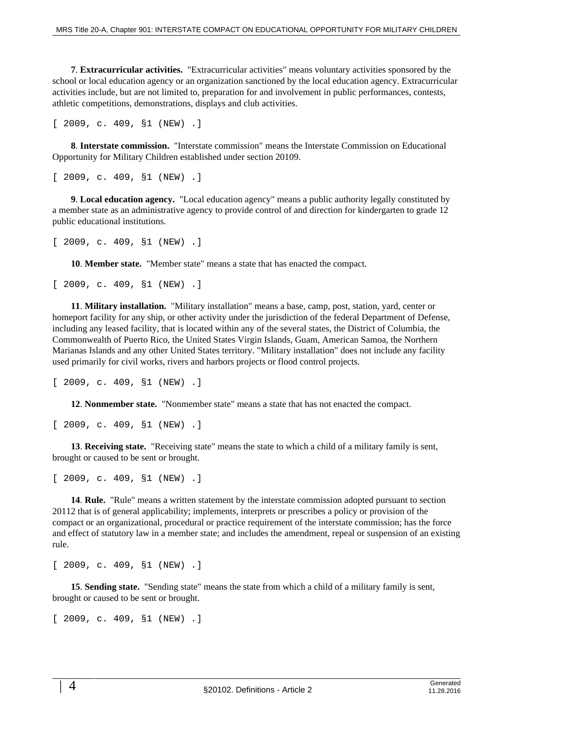**7**. **Extracurricular activities.** "Extracurricular activities" means voluntary activities sponsored by the school or local education agency or an organization sanctioned by the local education agency. Extracurricular activities include, but are not limited to, preparation for and involvement in public performances, contests, athletic competitions, demonstrations, displays and club activities.

[ 2009, c. 409, §1 (NEW) .]

**8**. **Interstate commission.** "Interstate commission" means the Interstate Commission on Educational Opportunity for Military Children established under section 20109.

[ 2009, c. 409, §1 (NEW) .]

**9**. **Local education agency.** "Local education agency" means a public authority legally constituted by a member state as an administrative agency to provide control of and direction for kindergarten to grade 12 public educational institutions.

[ 2009, c. 409, §1 (NEW) .]

**10**. **Member state.** "Member state" means a state that has enacted the compact.

[ 2009, c. 409, §1 (NEW) .]

**11**. **Military installation.** "Military installation" means a base, camp, post, station, yard, center or homeport facility for any ship, or other activity under the jurisdiction of the federal Department of Defense, including any leased facility, that is located within any of the several states, the District of Columbia, the Commonwealth of Puerto Rico, the United States Virgin Islands, Guam, American Samoa, the Northern Marianas Islands and any other United States territory. "Military installation" does not include any facility used primarily for civil works, rivers and harbors projects or flood control projects.

[ 2009, c. 409, §1 (NEW) .]

**12**. **Nonmember state.** "Nonmember state" means a state that has not enacted the compact.

[ 2009, c. 409, §1 (NEW) .]

**13**. **Receiving state.** "Receiving state" means the state to which a child of a military family is sent, brought or caused to be sent or brought.

[ 2009, c. 409, §1 (NEW) .]

**14**. **Rule.** "Rule" means a written statement by the interstate commission adopted pursuant to section 20112 that is of general applicability; implements, interprets or prescribes a policy or provision of the compact or an organizational, procedural or practice requirement of the interstate commission; has the force and effect of statutory law in a member state; and includes the amendment, repeal or suspension of an existing rule.

[ 2009, c. 409, §1 (NEW) .]

**15**. **Sending state.** "Sending state" means the state from which a child of a military family is sent, brought or caused to be sent or brought.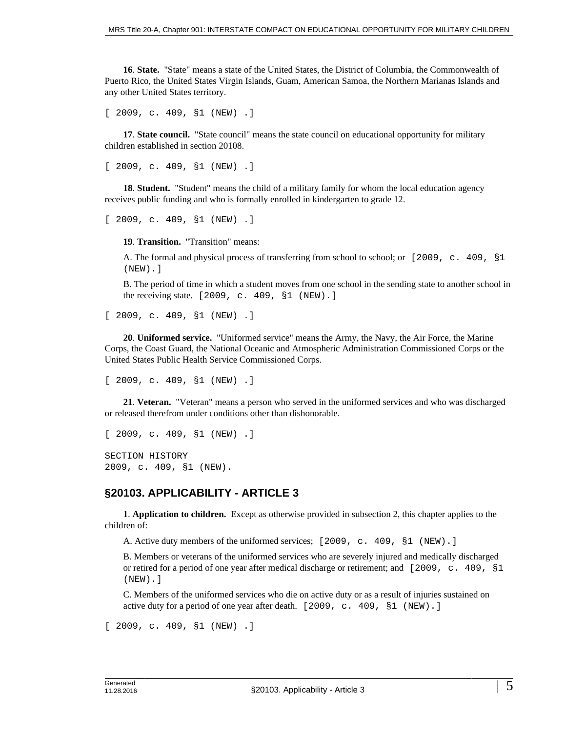**16**. **State.** "State" means a state of the United States, the District of Columbia, the Commonwealth of Puerto Rico, the United States Virgin Islands, Guam, American Samoa, the Northern Marianas Islands and any other United States territory.

[ 2009, c. 409, §1 (NEW) .]

**17**. **State council.** "State council" means the state council on educational opportunity for military children established in section 20108.

[ 2009, c. 409, §1 (NEW) .]

**18**. **Student.** "Student" means the child of a military family for whom the local education agency receives public funding and who is formally enrolled in kindergarten to grade 12.

[ 2009, c. 409, §1 (NEW) .]

**19**. **Transition.** "Transition" means:

A. The formal and physical process of transferring from school to school; or [2009, c. 409, §1 (NEW).]

B. The period of time in which a student moves from one school in the sending state to another school in the receiving state. [2009, c. 409, §1 (NEW).]

[ 2009, c. 409, §1 (NEW) .]

**20**. **Uniformed service.** "Uniformed service" means the Army, the Navy, the Air Force, the Marine Corps, the Coast Guard, the National Oceanic and Atmospheric Administration Commissioned Corps or the United States Public Health Service Commissioned Corps.

[ 2009, c. 409, §1 (NEW) .]

**21**. **Veteran.** "Veteran" means a person who served in the uniformed services and who was discharged or released therefrom under conditions other than dishonorable.

[ 2009, c. 409, §1 (NEW) .]

SECTION HISTORY 2009, c. 409, §1 (NEW).

### **§20103. APPLICABILITY - ARTICLE 3**

**1**. **Application to children.** Except as otherwise provided in subsection 2, this chapter applies to the children of:

A. Active duty members of the uniformed services; [2009, c. 409, §1 (NEW).]

B. Members or veterans of the uniformed services who are severely injured and medically discharged or retired for a period of one year after medical discharge or retirement; and [2009, c. 409, §1 (NEW).]

C. Members of the uniformed services who die on active duty or as a result of injuries sustained on active duty for a period of one year after death. [2009, c. 409, §1 (NEW).]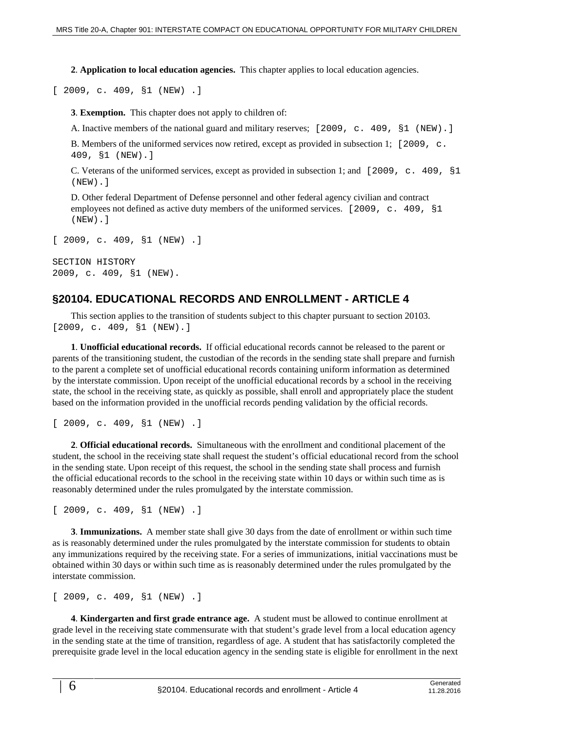**2**. **Application to local education agencies.** This chapter applies to local education agencies.

[ 2009, c. 409, §1 (NEW) .]

**3**. **Exemption.** This chapter does not apply to children of:

A. Inactive members of the national guard and military reserves; [2009, c. 409, §1 (NEW).]

B. Members of the uniformed services now retired, except as provided in subsection 1; [2009, c. 409, §1 (NEW).]

C. Veterans of the uniformed services, except as provided in subsection 1; and [2009, c. 409, §1 (NEW).]

D. Other federal Department of Defense personnel and other federal agency civilian and contract employees not defined as active duty members of the uniformed services. [2009, c. 409, §1 (NEW).]

```
[ 2009, c. 409, §1 (NEW) .]
```
SECTION HISTORY 2009, c. 409, §1 (NEW).

# **§20104. EDUCATIONAL RECORDS AND ENROLLMENT - ARTICLE 4**

This section applies to the transition of students subject to this chapter pursuant to section 20103. [2009, c. 409, §1 (NEW).]

**1**. **Unofficial educational records.** If official educational records cannot be released to the parent or parents of the transitioning student, the custodian of the records in the sending state shall prepare and furnish to the parent a complete set of unofficial educational records containing uniform information as determined by the interstate commission. Upon receipt of the unofficial educational records by a school in the receiving state, the school in the receiving state, as quickly as possible, shall enroll and appropriately place the student based on the information provided in the unofficial records pending validation by the official records.

[ 2009, c. 409, §1 (NEW) .]

**2**. **Official educational records.** Simultaneous with the enrollment and conditional placement of the student, the school in the receiving state shall request the student's official educational record from the school in the sending state. Upon receipt of this request, the school in the sending state shall process and furnish the official educational records to the school in the receiving state within 10 days or within such time as is reasonably determined under the rules promulgated by the interstate commission.

[ 2009, c. 409, §1 (NEW) .]

**3**. **Immunizations.** A member state shall give 30 days from the date of enrollment or within such time as is reasonably determined under the rules promulgated by the interstate commission for students to obtain any immunizations required by the receiving state. For a series of immunizations, initial vaccinations must be obtained within 30 days or within such time as is reasonably determined under the rules promulgated by the interstate commission.

[ 2009, c. 409, §1 (NEW) .]

**4**. **Kindergarten and first grade entrance age.** A student must be allowed to continue enrollment at grade level in the receiving state commensurate with that student's grade level from a local education agency in the sending state at the time of transition, regardless of age. A student that has satisfactorily completed the prerequisite grade level in the local education agency in the sending state is eligible for enrollment in the next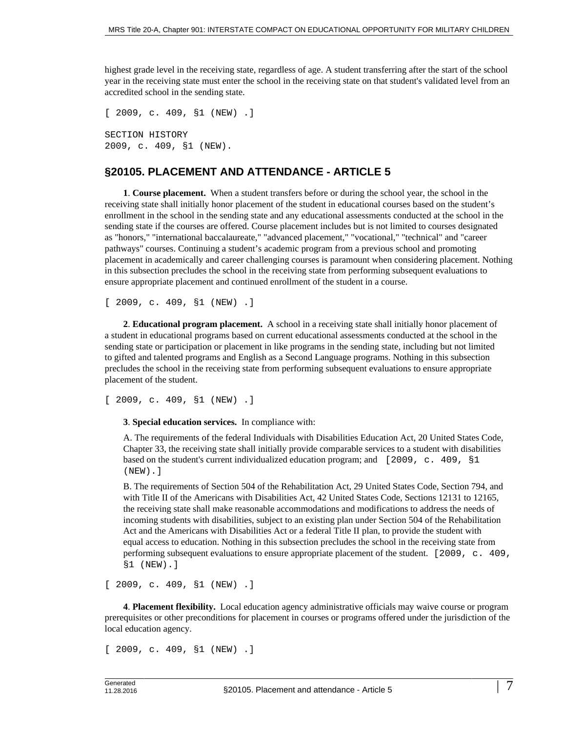highest grade level in the receiving state, regardless of age. A student transferring after the start of the school year in the receiving state must enter the school in the receiving state on that student's validated level from an accredited school in the sending state.

[ 2009, c. 409, §1 (NEW) .] SECTION HISTORY 2009, c. 409, §1 (NEW).

# **§20105. PLACEMENT AND ATTENDANCE - ARTICLE 5**

**1**. **Course placement.** When a student transfers before or during the school year, the school in the receiving state shall initially honor placement of the student in educational courses based on the student's enrollment in the school in the sending state and any educational assessments conducted at the school in the sending state if the courses are offered. Course placement includes but is not limited to courses designated as "honors," "international baccalaureate," "advanced placement," "vocational," "technical" and "career pathways" courses. Continuing a student's academic program from a previous school and promoting placement in academically and career challenging courses is paramount when considering placement. Nothing in this subsection precludes the school in the receiving state from performing subsequent evaluations to ensure appropriate placement and continued enrollment of the student in a course.

[ 2009, c. 409, §1 (NEW) .]

**2**. **Educational program placement.** A school in a receiving state shall initially honor placement of a student in educational programs based on current educational assessments conducted at the school in the sending state or participation or placement in like programs in the sending state, including but not limited to gifted and talented programs and English as a Second Language programs. Nothing in this subsection precludes the school in the receiving state from performing subsequent evaluations to ensure appropriate placement of the student.

[ 2009, c. 409, §1 (NEW) .]

**3**. **Special education services.** In compliance with:

A. The requirements of the federal Individuals with Disabilities Education Act, 20 United States Code, Chapter 33, the receiving state shall initially provide comparable services to a student with disabilities based on the student's current individualized education program; and [2009, c. 409, §1 (NEW).]

B. The requirements of Section 504 of the Rehabilitation Act, 29 United States Code, Section 794, and with Title II of the Americans with Disabilities Act, 42 United States Code, Sections 12131 to 12165, the receiving state shall make reasonable accommodations and modifications to address the needs of incoming students with disabilities, subject to an existing plan under Section 504 of the Rehabilitation Act and the Americans with Disabilities Act or a federal Title II plan, to provide the student with equal access to education. Nothing in this subsection precludes the school in the receiving state from performing subsequent evaluations to ensure appropriate placement of the student. [2009, c. 409, §1 (NEW).]

[ 2009, c. 409, §1 (NEW) .]

**4**. **Placement flexibility.** Local education agency administrative officials may waive course or program prerequisites or other preconditions for placement in courses or programs offered under the jurisdiction of the local education agency.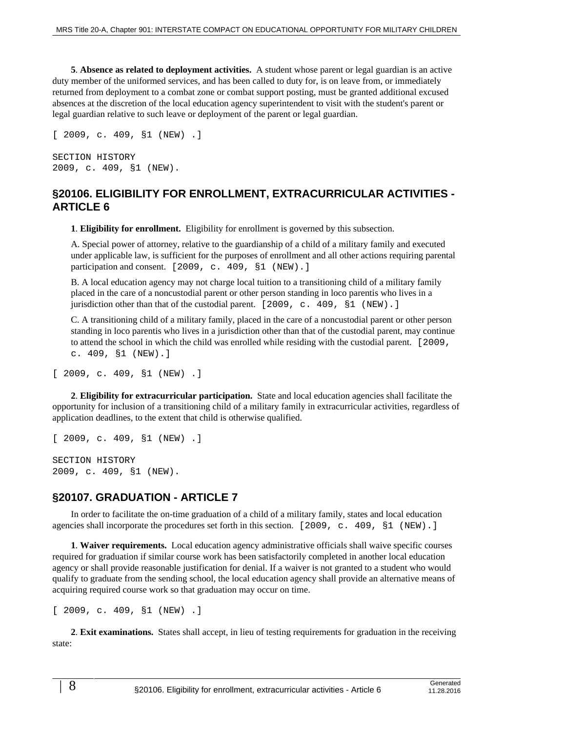**5**. **Absence as related to deployment activities.** A student whose parent or legal guardian is an active duty member of the uniformed services, and has been called to duty for, is on leave from, or immediately returned from deployment to a combat zone or combat support posting, must be granted additional excused absences at the discretion of the local education agency superintendent to visit with the student's parent or legal guardian relative to such leave or deployment of the parent or legal guardian.

[ 2009, c. 409, §1 (NEW) .]

SECTION HISTORY 2009, c. 409, §1 (NEW).

# **§20106. ELIGIBILITY FOR ENROLLMENT, EXTRACURRICULAR ACTIVITIES - ARTICLE 6**

**1**. **Eligibility for enrollment.** Eligibility for enrollment is governed by this subsection.

A. Special power of attorney, relative to the guardianship of a child of a military family and executed under applicable law, is sufficient for the purposes of enrollment and all other actions requiring parental participation and consent. [2009, c. 409, §1 (NEW).]

B. A local education agency may not charge local tuition to a transitioning child of a military family placed in the care of a noncustodial parent or other person standing in loco parentis who lives in a jurisdiction other than that of the custodial parent. [2009, c. 409,  $\S1$  (NEW).]

C. A transitioning child of a military family, placed in the care of a noncustodial parent or other person standing in loco parentis who lives in a jurisdiction other than that of the custodial parent, may continue to attend the school in which the child was enrolled while residing with the custodial parent. [2009, c. 409, §1 (NEW).]

[ 2009, c. 409, §1 (NEW) .]

**2**. **Eligibility for extracurricular participation.** State and local education agencies shall facilitate the opportunity for inclusion of a transitioning child of a military family in extracurricular activities, regardless of application deadlines, to the extent that child is otherwise qualified.

[ 2009, c. 409, §1 (NEW) .]

SECTION HISTORY 2009, c. 409, §1 (NEW).

# **§20107. GRADUATION - ARTICLE 7**

In order to facilitate the on-time graduation of a child of a military family, states and local education agencies shall incorporate the procedures set forth in this section. [2009, c. 409, §1 (NEW).]

**1**. **Waiver requirements.** Local education agency administrative officials shall waive specific courses required for graduation if similar course work has been satisfactorily completed in another local education agency or shall provide reasonable justification for denial. If a waiver is not granted to a student who would qualify to graduate from the sending school, the local education agency shall provide an alternative means of acquiring required course work so that graduation may occur on time.

[ 2009, c. 409, §1 (NEW) .]

**2**. **Exit examinations.** States shall accept, in lieu of testing requirements for graduation in the receiving state: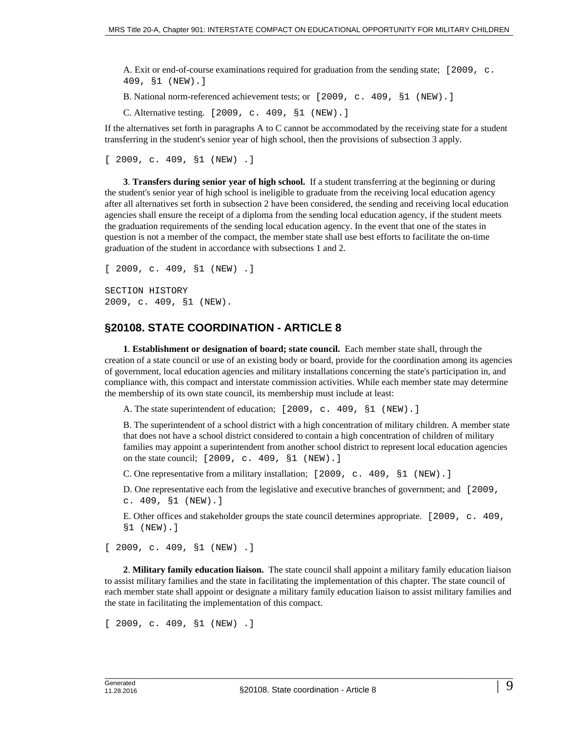A. Exit or end-of-course examinations required for graduation from the sending state; [2009, c. 409, §1 (NEW).]

B. National norm-referenced achievement tests; or [2009, c. 409, §1 (NEW).]

C. Alternative testing. [2009, c. 409, §1 (NEW).]

If the alternatives set forth in paragraphs A to C cannot be accommodated by the receiving state for a student transferring in the student's senior year of high school, then the provisions of subsection 3 apply.

[ 2009, c. 409, §1 (NEW) .]

**3**. **Transfers during senior year of high school.** If a student transferring at the beginning or during the student's senior year of high school is ineligible to graduate from the receiving local education agency after all alternatives set forth in subsection 2 have been considered, the sending and receiving local education agencies shall ensure the receipt of a diploma from the sending local education agency, if the student meets the graduation requirements of the sending local education agency. In the event that one of the states in question is not a member of the compact, the member state shall use best efforts to facilitate the on-time graduation of the student in accordance with subsections 1 and 2.

[ 2009, c. 409, §1 (NEW) .]

SECTION HISTORY 2009, c. 409, §1 (NEW).

#### **§20108. STATE COORDINATION - ARTICLE 8**

**1**. **Establishment or designation of board; state council.** Each member state shall, through the creation of a state council or use of an existing body or board, provide for the coordination among its agencies of government, local education agencies and military installations concerning the state's participation in, and compliance with, this compact and interstate commission activities. While each member state may determine the membership of its own state council, its membership must include at least:

A. The state superintendent of education; [2009, c. 409, §1 (NEW).]

B. The superintendent of a school district with a high concentration of military children. A member state that does not have a school district considered to contain a high concentration of children of military families may appoint a superintendent from another school district to represent local education agencies on the state council; [2009, c. 409, §1 (NEW).]

C. One representative from a military installation; [2009, c. 409,  $\S1$  (NEW).]

D. One representative each from the legislative and executive branches of government; and [2009, c. 409, §1 (NEW).]

E. Other offices and stakeholder groups the state council determines appropriate. [2009, c. 409, §1 (NEW).]

[ 2009, c. 409, §1 (NEW) .]

**2**. **Military family education liaison.** The state council shall appoint a military family education liaison to assist military families and the state in facilitating the implementation of this chapter. The state council of each member state shall appoint or designate a military family education liaison to assist military families and the state in facilitating the implementation of this compact.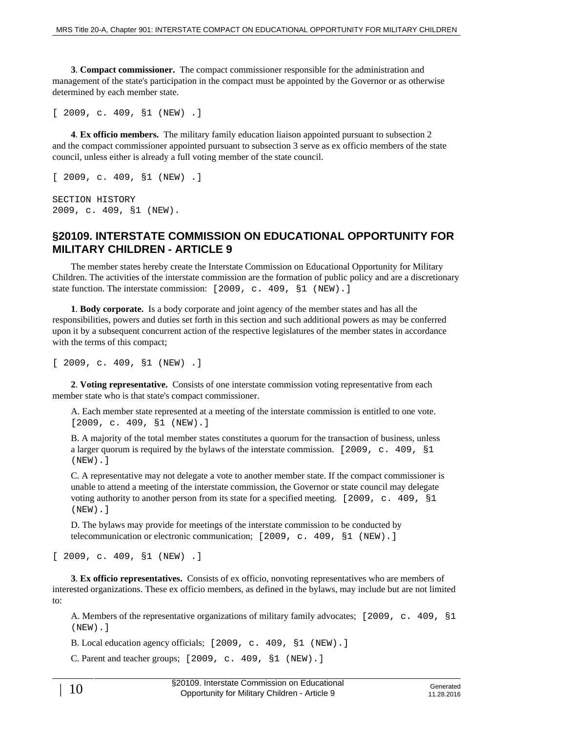**3**. **Compact commissioner.** The compact commissioner responsible for the administration and management of the state's participation in the compact must be appointed by the Governor or as otherwise determined by each member state.

[ 2009, c. 409, §1 (NEW) .]

**4**. **Ex officio members.** The military family education liaison appointed pursuant to subsection 2 and the compact commissioner appointed pursuant to subsection 3 serve as ex officio members of the state council, unless either is already a full voting member of the state council.

[ 2009, c. 409, §1 (NEW) .]

```
SECTION HISTORY
2009, c. 409, §1 (NEW).
```
## **§20109. INTERSTATE COMMISSION ON EDUCATIONAL OPPORTUNITY FOR MILITARY CHILDREN - ARTICLE 9**

The member states hereby create the Interstate Commission on Educational Opportunity for Military Children. The activities of the interstate commission are the formation of public policy and are a discretionary state function. The interstate commission: [2009, c. 409, §1 (NEW).]

**1**. **Body corporate.** Is a body corporate and joint agency of the member states and has all the responsibilities, powers and duties set forth in this section and such additional powers as may be conferred upon it by a subsequent concurrent action of the respective legislatures of the member states in accordance with the terms of this compact;

[ 2009, c. 409, §1 (NEW) .]

**2**. **Voting representative.** Consists of one interstate commission voting representative from each member state who is that state's compact commissioner.

A. Each member state represented at a meeting of the interstate commission is entitled to one vote. [2009, c. 409, §1 (NEW).]

B. A majority of the total member states constitutes a quorum for the transaction of business, unless a larger quorum is required by the bylaws of the interstate commission. [2009, c. 409, §1 (NEW).]

C. A representative may not delegate a vote to another member state. If the compact commissioner is unable to attend a meeting of the interstate commission, the Governor or state council may delegate voting authority to another person from its state for a specified meeting. [2009, c. 409, §1 (NEW).]

D. The bylaws may provide for meetings of the interstate commission to be conducted by telecommunication or electronic communication; [2009, c. 409, §1 (NEW).]

[ 2009, c. 409, §1 (NEW) .]

**3**. **Ex officio representatives.** Consists of ex officio, nonvoting representatives who are members of interested organizations. These ex officio members, as defined in the bylaws, may include but are not limited to:

A. Members of the representative organizations of military family advocates; [2009, c. 409, §1 (NEW).]

B. Local education agency officials; [2009, c. 409, §1 (NEW).]

C. Parent and teacher groups; [2009, c. 409, §1 (NEW).]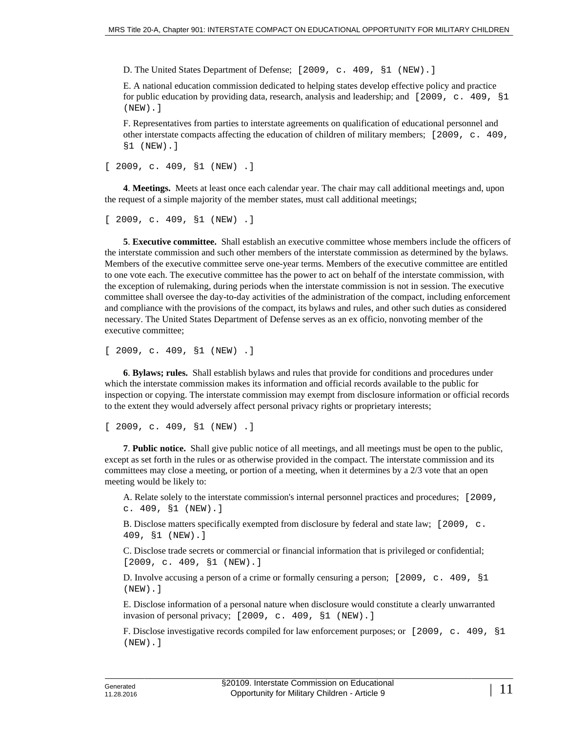D. The United States Department of Defense; [2009, c. 409, §1 (NEW).]

E. A national education commission dedicated to helping states develop effective policy and practice for public education by providing data, research, analysis and leadership; and [2009, c. 409, §1 (NEW).]

F. Representatives from parties to interstate agreements on qualification of educational personnel and other interstate compacts affecting the education of children of military members; [2009, c. 409, §1 (NEW).]

[ 2009, c. 409, §1 (NEW) .]

**4**. **Meetings.** Meets at least once each calendar year. The chair may call additional meetings and, upon the request of a simple majority of the member states, must call additional meetings;

[ 2009, c. 409, §1 (NEW) .]

**5**. **Executive committee.** Shall establish an executive committee whose members include the officers of the interstate commission and such other members of the interstate commission as determined by the bylaws. Members of the executive committee serve one-year terms. Members of the executive committee are entitled to one vote each. The executive committee has the power to act on behalf of the interstate commission, with the exception of rulemaking, during periods when the interstate commission is not in session. The executive committee shall oversee the day-to-day activities of the administration of the compact, including enforcement and compliance with the provisions of the compact, its bylaws and rules, and other such duties as considered necessary. The United States Department of Defense serves as an ex officio, nonvoting member of the executive committee;

[ 2009, c. 409, §1 (NEW) .]

**6**. **Bylaws; rules.** Shall establish bylaws and rules that provide for conditions and procedures under which the interstate commission makes its information and official records available to the public for inspection or copying. The interstate commission may exempt from disclosure information or official records to the extent they would adversely affect personal privacy rights or proprietary interests;

[ 2009, c. 409, §1 (NEW) .]

**7**. **Public notice.** Shall give public notice of all meetings, and all meetings must be open to the public, except as set forth in the rules or as otherwise provided in the compact. The interstate commission and its committees may close a meeting, or portion of a meeting, when it determines by a 2/3 vote that an open meeting would be likely to:

A. Relate solely to the interstate commission's internal personnel practices and procedures; [2009, c. 409, §1 (NEW).]

B. Disclose matters specifically exempted from disclosure by federal and state law; [2009, c. 409, §1 (NEW).]

C. Disclose trade secrets or commercial or financial information that is privileged or confidential; [2009, c. 409, §1 (NEW).]

D. Involve accusing a person of a crime or formally censuring a person; [2009, c. 409, §1 (NEW).]

E. Disclose information of a personal nature when disclosure would constitute a clearly unwarranted invasion of personal privacy; [2009, c. 409, §1 (NEW).]

F. Disclose investigative records compiled for law enforcement purposes; or [2009, c. 409, §1 (NEW).]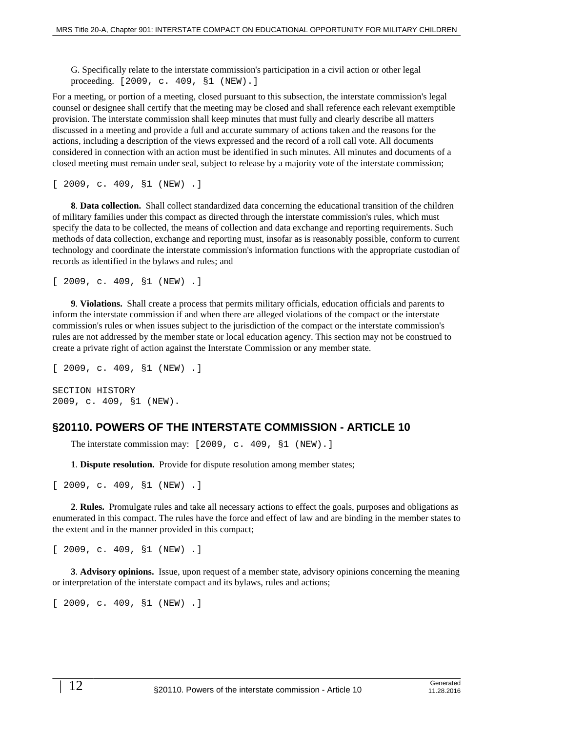G. Specifically relate to the interstate commission's participation in a civil action or other legal proceeding. [2009, c. 409, §1 (NEW).]

For a meeting, or portion of a meeting, closed pursuant to this subsection, the interstate commission's legal counsel or designee shall certify that the meeting may be closed and shall reference each relevant exemptible provision. The interstate commission shall keep minutes that must fully and clearly describe all matters discussed in a meeting and provide a full and accurate summary of actions taken and the reasons for the actions, including a description of the views expressed and the record of a roll call vote. All documents considered in connection with an action must be identified in such minutes. All minutes and documents of a closed meeting must remain under seal, subject to release by a majority vote of the interstate commission;

[ 2009, c. 409, §1 (NEW) .]

**8**. **Data collection.** Shall collect standardized data concerning the educational transition of the children of military families under this compact as directed through the interstate commission's rules, which must specify the data to be collected, the means of collection and data exchange and reporting requirements. Such methods of data collection, exchange and reporting must, insofar as is reasonably possible, conform to current technology and coordinate the interstate commission's information functions with the appropriate custodian of records as identified in the bylaws and rules; and

[ 2009, c. 409, §1 (NEW) .]

**9**. **Violations.** Shall create a process that permits military officials, education officials and parents to inform the interstate commission if and when there are alleged violations of the compact or the interstate commission's rules or when issues subject to the jurisdiction of the compact or the interstate commission's rules are not addressed by the member state or local education agency. This section may not be construed to create a private right of action against the Interstate Commission or any member state.

```
[ 2009, c. 409, §1 (NEW) .]
SECTION HISTORY
2009, c. 409, §1 (NEW).
```
#### **§20110. POWERS OF THE INTERSTATE COMMISSION - ARTICLE 10**

The interstate commission may: [2009, c. 409, §1 (NEW).]

**1**. **Dispute resolution.** Provide for dispute resolution among member states;

[ 2009, c. 409, §1 (NEW) .]

**2**. **Rules.** Promulgate rules and take all necessary actions to effect the goals, purposes and obligations as enumerated in this compact. The rules have the force and effect of law and are binding in the member states to the extent and in the manner provided in this compact;

[ 2009, c. 409, §1 (NEW) .]

**3**. **Advisory opinions.** Issue, upon request of a member state, advisory opinions concerning the meaning or interpretation of the interstate compact and its bylaws, rules and actions;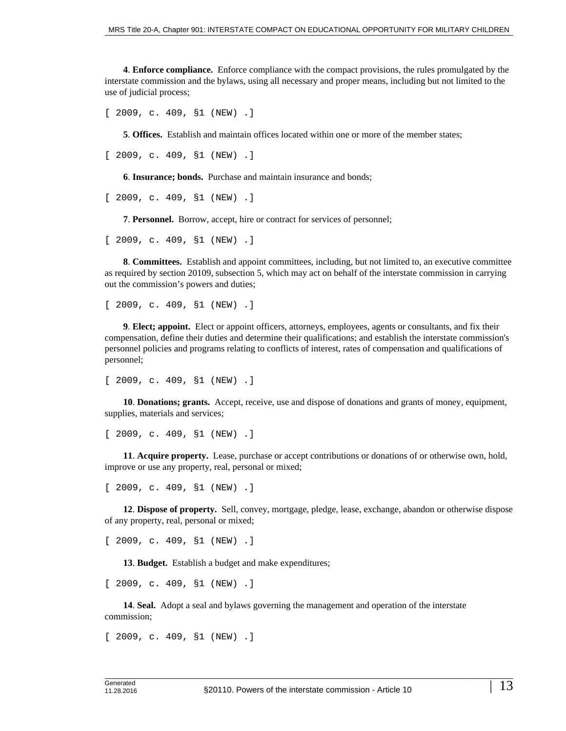**4**. **Enforce compliance.** Enforce compliance with the compact provisions, the rules promulgated by the interstate commission and the bylaws, using all necessary and proper means, including but not limited to the use of judicial process;

[ 2009, c. 409, §1 (NEW) .]

**5**. **Offices.** Establish and maintain offices located within one or more of the member states;

[ 2009, c. 409, §1 (NEW) .]

**6**. **Insurance; bonds.** Purchase and maintain insurance and bonds;

```
[ 2009, c. 409, §1 (NEW) .]
```
**7**. **Personnel.** Borrow, accept, hire or contract for services of personnel;

[ 2009, c. 409, §1 (NEW) .]

**8**. **Committees.** Establish and appoint committees, including, but not limited to, an executive committee as required by section 20109, subsection 5, which may act on behalf of the interstate commission in carrying out the commission's powers and duties;

[ 2009, c. 409, §1 (NEW) .]

**9**. **Elect; appoint.** Elect or appoint officers, attorneys, employees, agents or consultants, and fix their compensation, define their duties and determine their qualifications; and establish the interstate commission's personnel policies and programs relating to conflicts of interest, rates of compensation and qualifications of personnel;

[ 2009, c. 409, §1 (NEW) .]

**10**. **Donations; grants.** Accept, receive, use and dispose of donations and grants of money, equipment, supplies, materials and services;

[ 2009, c. 409, §1 (NEW) .]

**11**. **Acquire property.** Lease, purchase or accept contributions or donations of or otherwise own, hold, improve or use any property, real, personal or mixed;

[ 2009, c. 409, §1 (NEW) .]

**12**. **Dispose of property.** Sell, convey, mortgage, pledge, lease, exchange, abandon or otherwise dispose of any property, real, personal or mixed;

[ 2009, c. 409, §1 (NEW) .]

**13**. **Budget.** Establish a budget and make expenditures;

[ 2009, c. 409, §1 (NEW) .]

**14**. **Seal.** Adopt a seal and bylaws governing the management and operation of the interstate commission;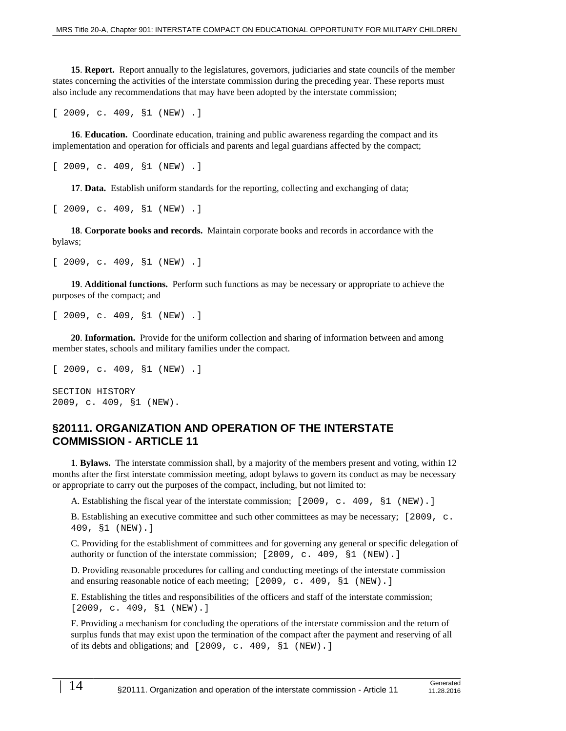**15**. **Report.** Report annually to the legislatures, governors, judiciaries and state councils of the member states concerning the activities of the interstate commission during the preceding year. These reports must also include any recommendations that may have been adopted by the interstate commission;

[ 2009, c. 409, §1 (NEW) .]

**16**. **Education.** Coordinate education, training and public awareness regarding the compact and its implementation and operation for officials and parents and legal guardians affected by the compact;

[ 2009, c. 409, §1 (NEW) .]

**17**. **Data.** Establish uniform standards for the reporting, collecting and exchanging of data;

[ 2009, c. 409, §1 (NEW) .]

**18**. **Corporate books and records.** Maintain corporate books and records in accordance with the bylaws;

[ 2009, c. 409, §1 (NEW) .]

**19**. **Additional functions.** Perform such functions as may be necessary or appropriate to achieve the purposes of the compact; and

[ 2009, c. 409, §1 (NEW) .]

**20**. **Information.** Provide for the uniform collection and sharing of information between and among member states, schools and military families under the compact.

[ 2009, c. 409, §1 (NEW) .] SECTION HISTORY 2009, c. 409, §1 (NEW).

### **§20111. ORGANIZATION AND OPERATION OF THE INTERSTATE COMMISSION - ARTICLE 11**

**1**. **Bylaws.** The interstate commission shall, by a majority of the members present and voting, within 12 months after the first interstate commission meeting, adopt bylaws to govern its conduct as may be necessary or appropriate to carry out the purposes of the compact, including, but not limited to:

A. Establishing the fiscal year of the interstate commission; [2009, c. 409, §1 (NEW).]

B. Establishing an executive committee and such other committees as may be necessary; [2009, c. 409, §1 (NEW).]

C. Providing for the establishment of committees and for governing any general or specific delegation of authority or function of the interstate commission;  $[2009, c. 409, \S1 (NEW), ]$ 

D. Providing reasonable procedures for calling and conducting meetings of the interstate commission and ensuring reasonable notice of each meeting; [2009, c. 409, §1 (NEW).]

E. Establishing the titles and responsibilities of the officers and staff of the interstate commission; [2009, c. 409, §1 (NEW).]

F. Providing a mechanism for concluding the operations of the interstate commission and the return of surplus funds that may exist upon the termination of the compact after the payment and reserving of all of its debts and obligations; and [2009, c. 409, §1 (NEW).]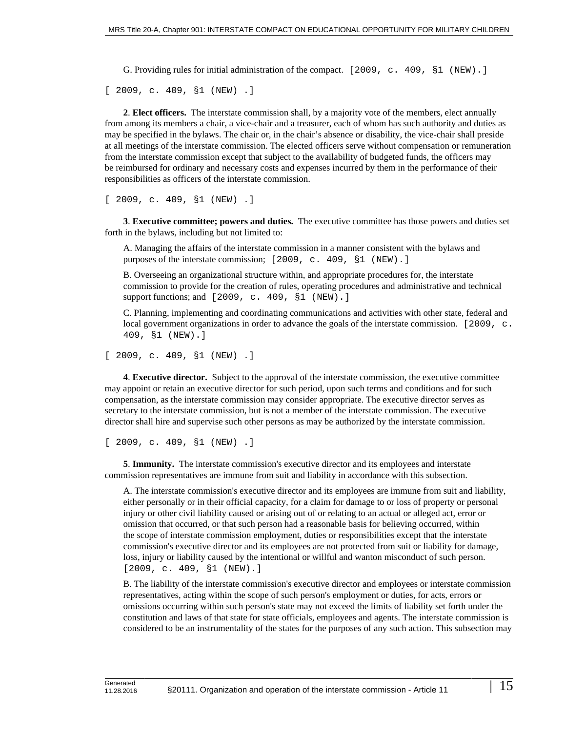G. Providing rules for initial administration of the compact. [2009, c. 409, §1 (NEW).] [ 2009, c. 409, §1 (NEW) .]

**2**. **Elect officers.** The interstate commission shall, by a majority vote of the members, elect annually from among its members a chair, a vice-chair and a treasurer, each of whom has such authority and duties as may be specified in the bylaws. The chair or, in the chair's absence or disability, the vice-chair shall preside at all meetings of the interstate commission. The elected officers serve without compensation or remuneration from the interstate commission except that subject to the availability of budgeted funds, the officers may be reimbursed for ordinary and necessary costs and expenses incurred by them in the performance of their responsibilities as officers of the interstate commission.

[ 2009, c. 409, §1 (NEW) .]

**3**. **Executive committee; powers and duties.** The executive committee has those powers and duties set forth in the bylaws, including but not limited to:

A. Managing the affairs of the interstate commission in a manner consistent with the bylaws and purposes of the interstate commission; [2009, c. 409, §1 (NEW).]

B. Overseeing an organizational structure within, and appropriate procedures for, the interstate commission to provide for the creation of rules, operating procedures and administrative and technical support functions; and [2009, c. 409, §1 (NEW).]

C. Planning, implementing and coordinating communications and activities with other state, federal and local government organizations in order to advance the goals of the interstate commission. [2009, c. 409, §1 (NEW).]

[ 2009, c. 409, §1 (NEW) .]

**4**. **Executive director.** Subject to the approval of the interstate commission, the executive committee may appoint or retain an executive director for such period, upon such terms and conditions and for such compensation, as the interstate commission may consider appropriate. The executive director serves as secretary to the interstate commission, but is not a member of the interstate commission. The executive director shall hire and supervise such other persons as may be authorized by the interstate commission.

[ 2009, c. 409, §1 (NEW) .]

**5**. **Immunity.** The interstate commission's executive director and its employees and interstate commission representatives are immune from suit and liability in accordance with this subsection.

A. The interstate commission's executive director and its employees are immune from suit and liability, either personally or in their official capacity, for a claim for damage to or loss of property or personal injury or other civil liability caused or arising out of or relating to an actual or alleged act, error or omission that occurred, or that such person had a reasonable basis for believing occurred, within the scope of interstate commission employment, duties or responsibilities except that the interstate commission's executive director and its employees are not protected from suit or liability for damage, loss, injury or liability caused by the intentional or willful and wanton misconduct of such person. [2009, c. 409, §1 (NEW).]

B. The liability of the interstate commission's executive director and employees or interstate commission representatives, acting within the scope of such person's employment or duties, for acts, errors or omissions occurring within such person's state may not exceed the limits of liability set forth under the constitution and laws of that state for state officials, employees and agents. The interstate commission is considered to be an instrumentality of the states for the purposes of any such action. This subsection may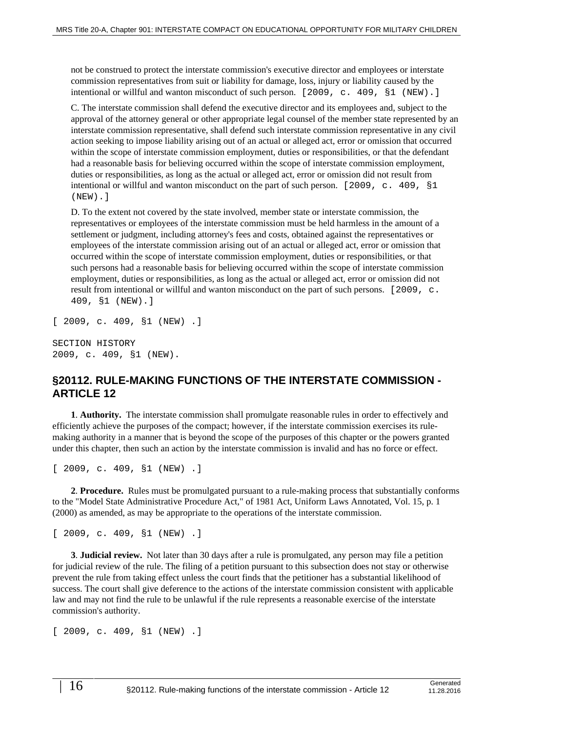not be construed to protect the interstate commission's executive director and employees or interstate commission representatives from suit or liability for damage, loss, injury or liability caused by the intentional or willful and wanton misconduct of such person. [2009, c. 409, §1 (NEW).]

C. The interstate commission shall defend the executive director and its employees and, subject to the approval of the attorney general or other appropriate legal counsel of the member state represented by an interstate commission representative, shall defend such interstate commission representative in any civil action seeking to impose liability arising out of an actual or alleged act, error or omission that occurred within the scope of interstate commission employment, duties or responsibilities, or that the defendant had a reasonable basis for believing occurred within the scope of interstate commission employment, duties or responsibilities, as long as the actual or alleged act, error or omission did not result from intentional or willful and wanton misconduct on the part of such person. [2009, c. 409, §1 (NEW).]

D. To the extent not covered by the state involved, member state or interstate commission, the representatives or employees of the interstate commission must be held harmless in the amount of a settlement or judgment, including attorney's fees and costs, obtained against the representatives or employees of the interstate commission arising out of an actual or alleged act, error or omission that occurred within the scope of interstate commission employment, duties or responsibilities, or that such persons had a reasonable basis for believing occurred within the scope of interstate commission employment, duties or responsibilities, as long as the actual or alleged act, error or omission did not result from intentional or willful and wanton misconduct on the part of such persons. [2009, c. 409, §1 (NEW).]

```
[ 2009, c. 409, §1 (NEW) .]
```
SECTION HISTORY 2009, c. 409, §1 (NEW).

# **§20112. RULE-MAKING FUNCTIONS OF THE INTERSTATE COMMISSION - ARTICLE 12**

**1**. **Authority.** The interstate commission shall promulgate reasonable rules in order to effectively and efficiently achieve the purposes of the compact; however, if the interstate commission exercises its rulemaking authority in a manner that is beyond the scope of the purposes of this chapter or the powers granted under this chapter, then such an action by the interstate commission is invalid and has no force or effect.

[ 2009, c. 409, §1 (NEW) .]

**2**. **Procedure.** Rules must be promulgated pursuant to a rule-making process that substantially conforms to the "Model State Administrative Procedure Act," of 1981 Act, Uniform Laws Annotated, Vol. 15, p. 1 (2000) as amended, as may be appropriate to the operations of the interstate commission.

[ 2009, c. 409, §1 (NEW) .]

**3**. **Judicial review.** Not later than 30 days after a rule is promulgated, any person may file a petition for judicial review of the rule. The filing of a petition pursuant to this subsection does not stay or otherwise prevent the rule from taking effect unless the court finds that the petitioner has a substantial likelihood of success. The court shall give deference to the actions of the interstate commission consistent with applicable law and may not find the rule to be unlawful if the rule represents a reasonable exercise of the interstate commission's authority.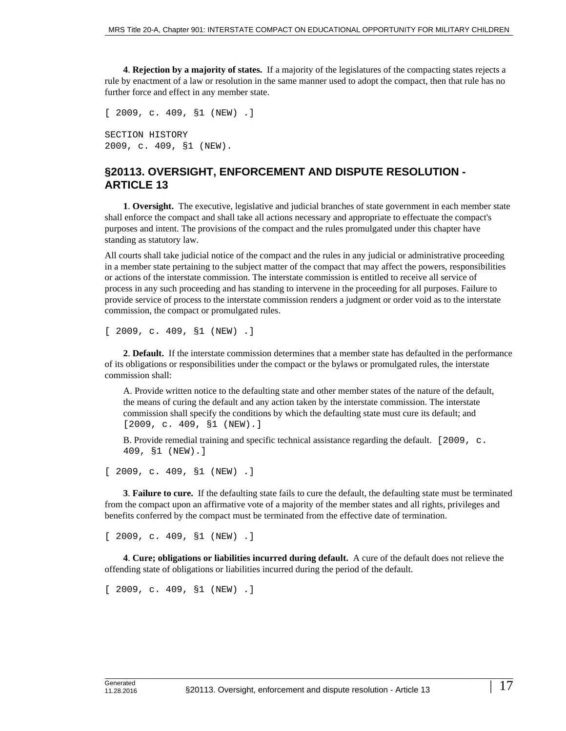**4**. **Rejection by a majority of states.** If a majority of the legislatures of the compacting states rejects a rule by enactment of a law or resolution in the same manner used to adopt the compact, then that rule has no further force and effect in any member state.

[ 2009, c. 409, §1 (NEW) .]

SECTION HISTORY 2009, c. 409, §1 (NEW).

# **§20113. OVERSIGHT, ENFORCEMENT AND DISPUTE RESOLUTION - ARTICLE 13**

**1**. **Oversight.** The executive, legislative and judicial branches of state government in each member state shall enforce the compact and shall take all actions necessary and appropriate to effectuate the compact's purposes and intent. The provisions of the compact and the rules promulgated under this chapter have standing as statutory law.

All courts shall take judicial notice of the compact and the rules in any judicial or administrative proceeding in a member state pertaining to the subject matter of the compact that may affect the powers, responsibilities or actions of the interstate commission. The interstate commission is entitled to receive all service of process in any such proceeding and has standing to intervene in the proceeding for all purposes. Failure to provide service of process to the interstate commission renders a judgment or order void as to the interstate commission, the compact or promulgated rules.

[ 2009, c. 409, §1 (NEW) .]

**2**. **Default.** If the interstate commission determines that a member state has defaulted in the performance of its obligations or responsibilities under the compact or the bylaws or promulgated rules, the interstate commission shall:

A. Provide written notice to the defaulting state and other member states of the nature of the default, the means of curing the default and any action taken by the interstate commission. The interstate commission shall specify the conditions by which the defaulting state must cure its default; and [2009, c. 409, §1 (NEW).]

B. Provide remedial training and specific technical assistance regarding the default. [2009, c. 409, §1 (NEW).]

[ 2009, c. 409, §1 (NEW) .]

**3**. **Failure to cure.** If the defaulting state fails to cure the default, the defaulting state must be terminated from the compact upon an affirmative vote of a majority of the member states and all rights, privileges and benefits conferred by the compact must be terminated from the effective date of termination.

[ 2009, c. 409, §1 (NEW) .]

**4**. **Cure; obligations or liabilities incurred during default.** A cure of the default does not relieve the offending state of obligations or liabilities incurred during the period of the default.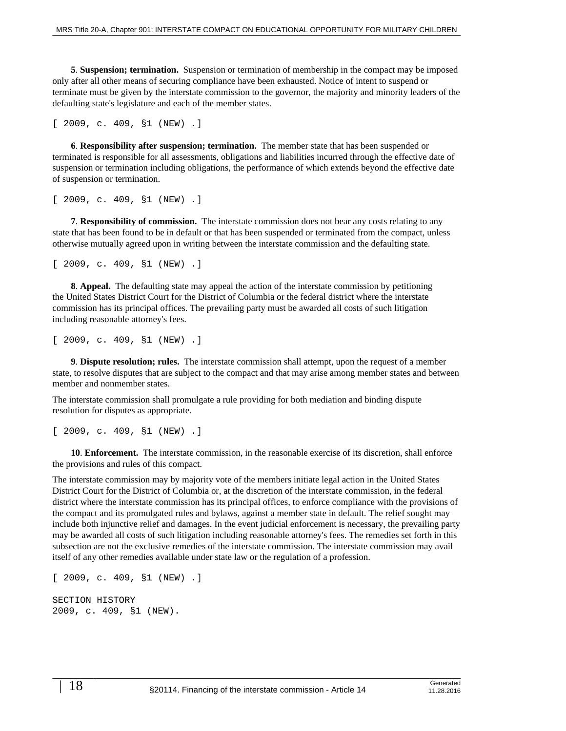**5**. **Suspension; termination.** Suspension or termination of membership in the compact may be imposed only after all other means of securing compliance have been exhausted. Notice of intent to suspend or terminate must be given by the interstate commission to the governor, the majority and minority leaders of the defaulting state's legislature and each of the member states.

[ 2009, c. 409, §1 (NEW) .]

**6**. **Responsibility after suspension; termination.** The member state that has been suspended or terminated is responsible for all assessments, obligations and liabilities incurred through the effective date of suspension or termination including obligations, the performance of which extends beyond the effective date of suspension or termination.

[ 2009, c. 409, §1 (NEW) .]

**7**. **Responsibility of commission.** The interstate commission does not bear any costs relating to any state that has been found to be in default or that has been suspended or terminated from the compact, unless otherwise mutually agreed upon in writing between the interstate commission and the defaulting state.

[ 2009, c. 409, §1 (NEW) .]

**8**. **Appeal.** The defaulting state may appeal the action of the interstate commission by petitioning the United States District Court for the District of Columbia or the federal district where the interstate commission has its principal offices. The prevailing party must be awarded all costs of such litigation including reasonable attorney's fees.

[ 2009, c. 409, §1 (NEW) .]

**9**. **Dispute resolution; rules.** The interstate commission shall attempt, upon the request of a member state, to resolve disputes that are subject to the compact and that may arise among member states and between member and nonmember states.

The interstate commission shall promulgate a rule providing for both mediation and binding dispute resolution for disputes as appropriate.

[ 2009, c. 409, §1 (NEW) .]

**10**. **Enforcement.** The interstate commission, in the reasonable exercise of its discretion, shall enforce the provisions and rules of this compact.

The interstate commission may by majority vote of the members initiate legal action in the United States District Court for the District of Columbia or, at the discretion of the interstate commission, in the federal district where the interstate commission has its principal offices, to enforce compliance with the provisions of the compact and its promulgated rules and bylaws, against a member state in default. The relief sought may include both injunctive relief and damages. In the event judicial enforcement is necessary, the prevailing party may be awarded all costs of such litigation including reasonable attorney's fees. The remedies set forth in this subsection are not the exclusive remedies of the interstate commission. The interstate commission may avail itself of any other remedies available under state law or the regulation of a profession.

```
[ 2009, c. 409, §1 (NEW) .]
```
SECTION HISTORY 2009, c. 409, §1 (NEW).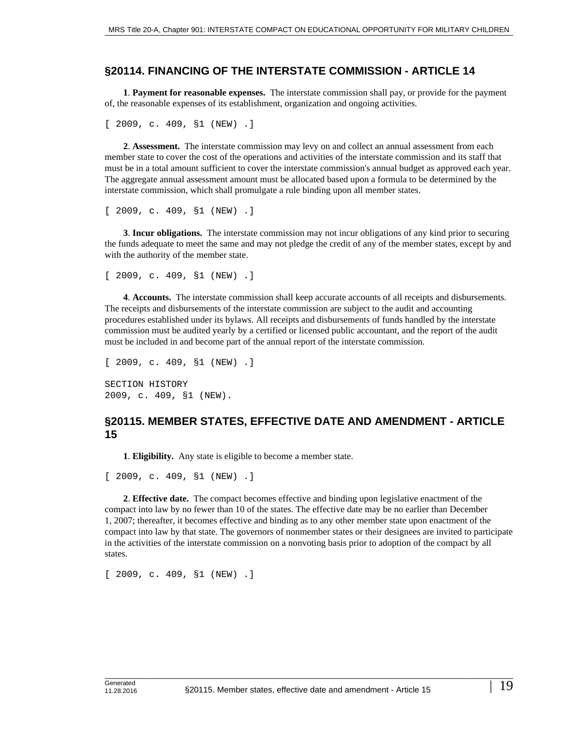#### **§20114. FINANCING OF THE INTERSTATE COMMISSION - ARTICLE 14**

**1**. **Payment for reasonable expenses.** The interstate commission shall pay, or provide for the payment of, the reasonable expenses of its establishment, organization and ongoing activities.

[ 2009, c. 409, §1 (NEW) .]

**2**. **Assessment.** The interstate commission may levy on and collect an annual assessment from each member state to cover the cost of the operations and activities of the interstate commission and its staff that must be in a total amount sufficient to cover the interstate commission's annual budget as approved each year. The aggregate annual assessment amount must be allocated based upon a formula to be determined by the interstate commission, which shall promulgate a rule binding upon all member states.

[ 2009, c. 409, §1 (NEW) .]

**3**. **Incur obligations.** The interstate commission may not incur obligations of any kind prior to securing the funds adequate to meet the same and may not pledge the credit of any of the member states, except by and with the authority of the member state.

[ 2009, c. 409, §1 (NEW) .]

**4**. **Accounts.** The interstate commission shall keep accurate accounts of all receipts and disbursements. The receipts and disbursements of the interstate commission are subject to the audit and accounting procedures established under its bylaws. All receipts and disbursements of funds handled by the interstate commission must be audited yearly by a certified or licensed public accountant, and the report of the audit must be included in and become part of the annual report of the interstate commission.

[ 2009, c. 409, §1 (NEW) .] SECTION HISTORY 2009, c. 409, §1 (NEW).

## **§20115. MEMBER STATES, EFFECTIVE DATE AND AMENDMENT - ARTICLE 15**

**1**. **Eligibility.** Any state is eligible to become a member state.

[ 2009, c. 409, §1 (NEW) .]

**2**. **Effective date.** The compact becomes effective and binding upon legislative enactment of the compact into law by no fewer than 10 of the states. The effective date may be no earlier than December 1, 2007; thereafter, it becomes effective and binding as to any other member state upon enactment of the compact into law by that state. The governors of nonmember states or their designees are invited to participate in the activities of the interstate commission on a nonvoting basis prior to adoption of the compact by all states.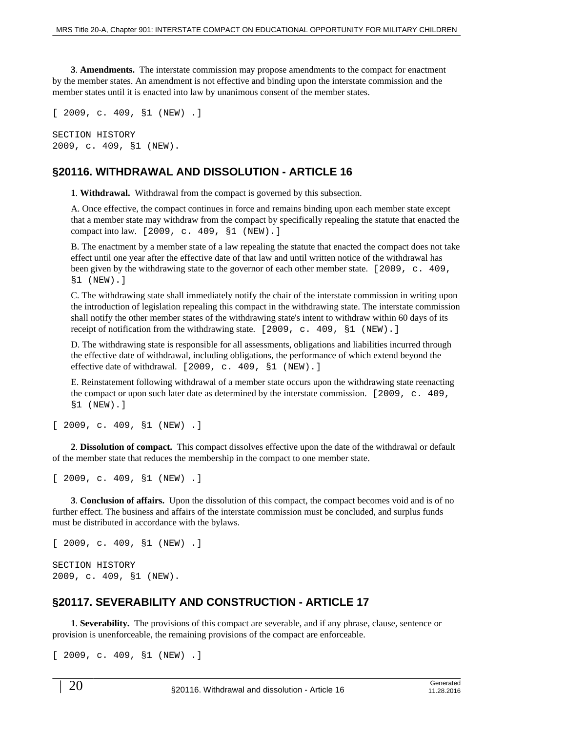**3**. **Amendments.** The interstate commission may propose amendments to the compact for enactment by the member states. An amendment is not effective and binding upon the interstate commission and the member states until it is enacted into law by unanimous consent of the member states.

[ 2009, c. 409, §1 (NEW) .]

SECTION HISTORY 2009, c. 409, §1 (NEW).

#### **§20116. WITHDRAWAL AND DISSOLUTION - ARTICLE 16**

**1**. **Withdrawal.** Withdrawal from the compact is governed by this subsection.

A. Once effective, the compact continues in force and remains binding upon each member state except that a member state may withdraw from the compact by specifically repealing the statute that enacted the compact into law. [2009, c. 409, §1 (NEW).]

B. The enactment by a member state of a law repealing the statute that enacted the compact does not take effect until one year after the effective date of that law and until written notice of the withdrawal has been given by the withdrawing state to the governor of each other member state. [2009, c. 409, §1 (NEW).]

C. The withdrawing state shall immediately notify the chair of the interstate commission in writing upon the introduction of legislation repealing this compact in the withdrawing state. The interstate commission shall notify the other member states of the withdrawing state's intent to withdraw within 60 days of its receipt of notification from the withdrawing state. [2009, c. 409, §1 (NEW).]

D. The withdrawing state is responsible for all assessments, obligations and liabilities incurred through the effective date of withdrawal, including obligations, the performance of which extend beyond the effective date of withdrawal. [2009, c. 409, §1 (NEW).]

E. Reinstatement following withdrawal of a member state occurs upon the withdrawing state reenacting the compact or upon such later date as determined by the interstate commission. [2009, c. 409, §1 (NEW).]

[ 2009, c. 409, §1 (NEW) .]

**2**. **Dissolution of compact.** This compact dissolves effective upon the date of the withdrawal or default of the member state that reduces the membership in the compact to one member state.

[ 2009, c. 409, §1 (NEW) .]

**3**. **Conclusion of affairs.** Upon the dissolution of this compact, the compact becomes void and is of no further effect. The business and affairs of the interstate commission must be concluded, and surplus funds must be distributed in accordance with the bylaws.

[ 2009, c. 409, §1 (NEW) .]

```
SECTION HISTORY
2009, c. 409, §1 (NEW).
```
#### **§20117. SEVERABILITY AND CONSTRUCTION - ARTICLE 17**

**1**. **Severability.** The provisions of this compact are severable, and if any phrase, clause, sentence or provision is unenforceable, the remaining provisions of the compact are enforceable.

```
[ 2009, c. 409, §1 (NEW) .]
```